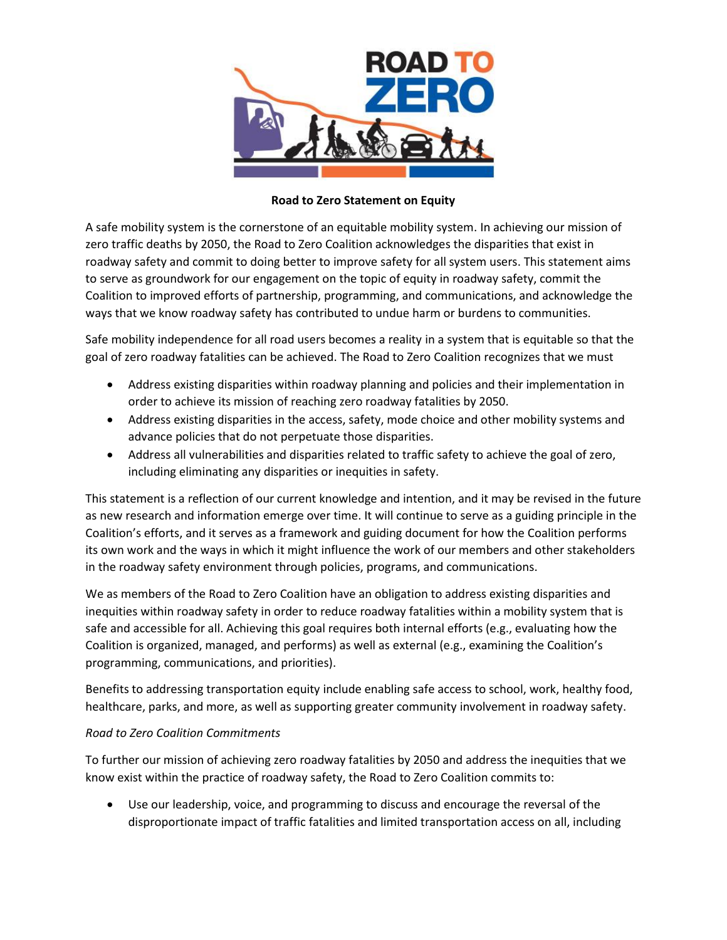

## **Road to Zero Statement on Equity**

A safe mobility system is the cornerstone of an equitable mobility system. In achieving our mission of zero traffic deaths by 2050, the Road to Zero Coalition acknowledges the disparities that exist in roadway safety and commit to doing better to improve safety for all system users. This statement aims to serve as groundwork for our engagement on the topic of equity in roadway safety, commit the Coalition to improved efforts of partnership, programming, and communications, and acknowledge the ways that we know roadway safety has contributed to undue harm or burdens to communities.

Safe mobility independence for all road users becomes a reality in a system that is equitable so that the goal of zero roadway fatalities can be achieved. The Road to Zero Coalition recognizes that we must

- Address existing disparities within roadway planning and policies and their implementation in order to achieve its mission of reaching zero roadway fatalities by 2050.
- Address existing disparities in the access, safety, mode choice and other mobility systems and advance policies that do not perpetuate those disparities.
- Address all vulnerabilities and disparities related to traffic safety to achieve the goal of zero, including eliminating any disparities or inequities in safety.

This statement is a reflection of our current knowledge and intention, and it may be revised in the future as new research and information emerge over time. It will continue to serve as a guiding principle in the Coalition's efforts, and it serves as a framework and guiding document for how the Coalition performs its own work and the ways in which it might influence the work of our members and other stakeholders in the roadway safety environment through policies, programs, and communications.

We as members of the Road to Zero Coalition have an obligation to address existing disparities and inequities within roadway safety in order to reduce roadway fatalities within a mobility system that is safe and accessible for all. Achieving this goal requires both internal efforts (e.g., evaluating how the Coalition is organized, managed, and performs) as well as external (e.g., examining the Coalition's programming, communications, and priorities).

Benefits to addressing transportation equity include enabling safe access to school, work, healthy food, healthcare, parks, and more, as well as supporting greater community involvement in roadway safety.

## *Road to Zero Coalition Commitments*

To further our mission of achieving zero roadway fatalities by 2050 and address the inequities that we know exist within the practice of roadway safety, the Road to Zero Coalition commits to:

 Use our leadership, voice, and programming to discuss and encourage the reversal of the disproportionate impact of traffic fatalities and limited transportation access on all, including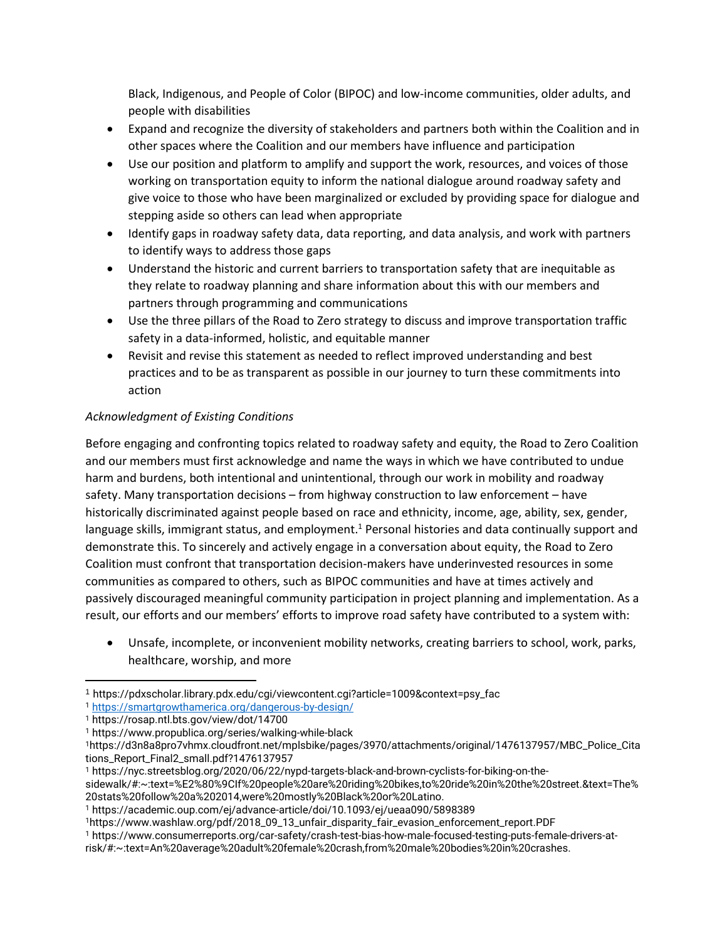Black, Indigenous, and People of Color (BIPOC) and low-income communities, older adults, and people with disabilities

- Expand and recognize the diversity of stakeholders and partners both within the Coalition and in other spaces where the Coalition and our members have influence and participation
- Use our position and platform to amplify and support the work, resources, and voices of those working on transportation equity to inform the national dialogue around roadway safety and give voice to those who have been marginalized or excluded by providing space for dialogue and stepping aside so others can lead when appropriate
- Identify gaps in roadway safety data, data reporting, and data analysis, and work with partners to identify ways to address those gaps
- Understand the historic and current barriers to transportation safety that are inequitable as they relate to roadway planning and share information about this with our members and partners through programming and communications
- Use the three pillars of the Road to Zero strategy to discuss and improve transportation traffic safety in a data-informed, holistic, and equitable manner
- Revisit and revise this statement as needed to reflect improved understanding and best practices and to be as transparent as possible in our journey to turn these commitments into action

## *Acknowledgment of Existing Conditions*

Before engaging and confronting topics related to roadway safety and equity, the Road to Zero Coalition and our members must first acknowledge and name the ways in which we have contributed to undue harm and burdens, both intentional and unintentional, through our work in mobility and roadway safety. Many transportation decisions – from highway construction to law enforcement – have historically discriminated against people based on race and ethnicity, income, age, ability, sex, gender, language skills, immigrant status, and employment.<sup>1</sup> Personal histories and data continually support and demonstrate this. To sincerely and actively engage in a conversation about equity, the Road to Zero Coalition must confront that transportation decision-makers have underinvested resources in some communities as compared to others, such as BIPOC communities and have at times actively and passively discouraged meaningful community participation in project planning and implementation. As a result, our efforts and our members' efforts to improve road safety have contributed to a system with:

 Unsafe, incomplete, or inconvenient mobility networks, creating barriers to school, work, parks, healthcare, worship, and more

 $\overline{\phantom{a}}$ <sup>1</sup> https://pdxscholar.library.pdx.edu/cgi/viewcontent.cgi?article=1009&context=psy\_fac

<sup>1</sup> <https://smartgrowthamerica.org/dangerous-by-design/>

<sup>1</sup> https://rosap.ntl.bts.gov/view/dot/14700

<sup>1</sup> https://www.propublica.org/series/walking-while-black

<sup>1</sup>https://d3n8a8pro7vhmx.cloudfront.net/mplsbike/pages/3970/attachments/original/1476137957/MBC\_Police\_Cita tions\_Report\_Final2\_small.pdf?1476137957

<sup>1</sup> https://nyc.streetsblog.org/2020/06/22/nypd-targets-black-and-brown-cyclists-for-biking-on-the-

sidewalk/#:~:text=%E2%80%9CIf%20people%20are%20riding%20bikes,to%20ride%20in%20the%20street.&text=The% 20stats%20follow%20a%202014,were%20mostly%20Black%20or%20Latino.

<sup>1</sup> https://academic.oup.com/ej/advance-article/doi/10.1093/ej/ueaa090/5898389

<sup>1</sup>https://www.washlaw.org/pdf/2018\_09\_13\_unfair\_disparity\_fair\_evasion\_enforcement\_report.PDF

<sup>1</sup> https://www.consumerreports.org/car-safety/crash-test-bias-how-male-focused-testing-puts-female-drivers-at-

risk/#:~:text=An%20average%20adult%20female%20crash,from%20male%20bodies%20in%20crashes.